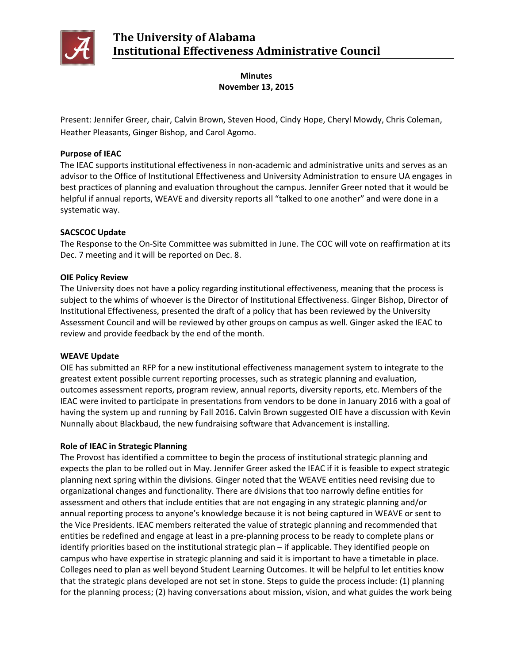

# **Minutes November 13, 2015**

Present: Jennifer Greer, chair, Calvin Brown, Steven Hood, Cindy Hope, Cheryl Mowdy, Chris Coleman, Heather Pleasants, Ginger Bishop, and Carol Agomo.

# **Purpose of IEAC**

The IEAC supports institutional effectiveness in non-academic and administrative units and serves as an advisor to the Office of Institutional Effectiveness and University Administration to ensure UA engages in best practices of planning and evaluation throughout the campus. Jennifer Greer noted that it would be helpful if annual reports, WEAVE and diversity reports all "talked to one another" and were done in a systematic way.

# **SACSCOC Update**

The Response to the On-Site Committee was submitted in June. The COC will vote on reaffirmation at its Dec. 7 meeting and it will be reported on Dec. 8.

### **OIE Policy Review**

The University does not have a policy regarding institutional effectiveness, meaning that the process is subject to the whims of whoever is the Director of Institutional Effectiveness. Ginger Bishop, Director of Institutional Effectiveness, presented the draft of a policy that has been reviewed by the University Assessment Council and will be reviewed by other groups on campus as well. Ginger asked the IEAC to review and provide feedback by the end of the month.

### **WEAVE Update**

OIE has submitted an RFP for a new institutional effectiveness management system to integrate to the greatest extent possible current reporting processes, such as strategic planning and evaluation, outcomes assessment reports, program review, annual reports, diversity reports, etc. Members of the IEAC were invited to participate in presentations from vendors to be done in January 2016 with a goal of having the system up and running by Fall 2016. Calvin Brown suggested OIE have a discussion with Kevin Nunnally about Blackbaud, the new fundraising software that Advancement is installing.

### **Role of IEAC in Strategic Planning**

The Provost has identified a committee to begin the process of institutional strategic planning and expects the plan to be rolled out in May. Jennifer Greer asked the IEAC if it is feasible to expect strategic planning next spring within the divisions. Ginger noted that the WEAVE entities need revising due to organizational changes and functionality. There are divisions that too narrowly define entities for assessment and others that include entities that are not engaging in any strategic planning and/or annual reporting process to anyone's knowledge because it is not being captured in WEAVE or sent to the Vice Presidents. IEAC members reiterated the value of strategic planning and recommended that entities be redefined and engage at least in a pre-planning process to be ready to complete plans or identify priorities based on the institutional strategic plan – if applicable. They identified people on campus who have expertise in strategic planning and said it is important to have a timetable in place. Colleges need to plan as well beyond Student Learning Outcomes. It will be helpful to let entities know that the strategic plans developed are not set in stone. Steps to guide the process include: (1) planning for the planning process; (2) having conversations about mission, vision, and what guides the work being